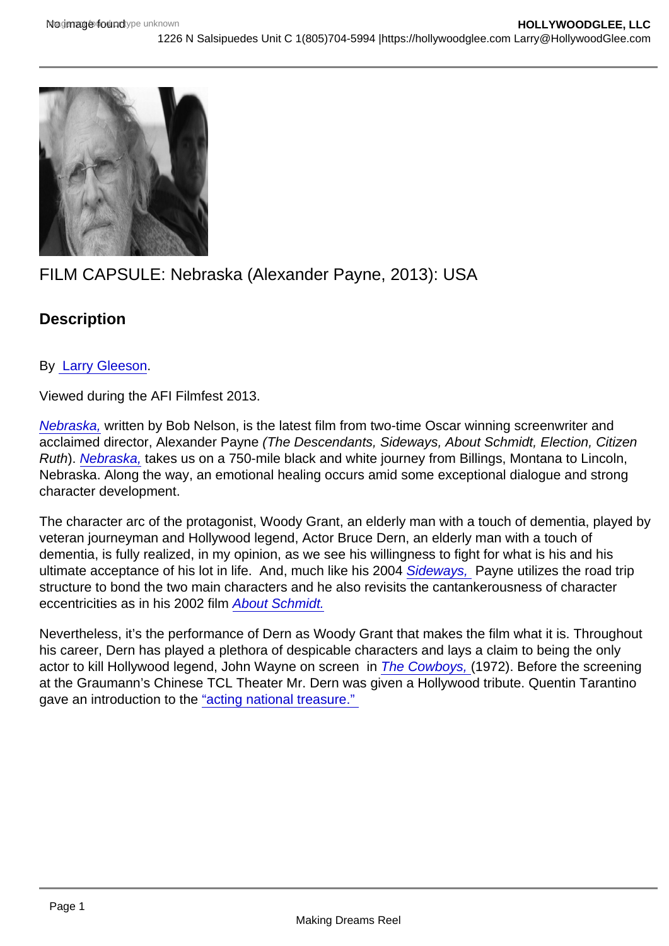## FILM CAPSULE: Nebraska (Alexander Payne, 2013): USA

**Description** 

By [Larry Gleeson](http://sbccfilmreviews.org/?author=1207).

Viewed during the AFI Filmfest 2013.

[Nebraska,](http://www.imdb.com/title/tt1821549/?ref_=nv_sr_1) written by Bob Nelson, is the latest film from two-time Oscar winning screenwriter and acclaimed director, Alexander Payne (The Descendants, Sideways, About Schmidt, Election, Citizen Ruth). [Nebraska,](http://www.imdb.com/title/tt1821549/?ref_=nv_sr_1) takes us on a 750-mile black and white journey from Billings, Montana to Lincoln, Nebraska. Along the way, an emotional healing occurs amid some exceptional dialogue and strong character development.

The character arc of the protagonist, Woody Grant, an elderly man with a touch of dementia, played by veteran journeyman and Hollywood legend, Actor Bruce Dern, an elderly man with a touch of dementia, is fully realized, in my opinion, as we see his willingness to fight for what is his and his ultimate acceptance of his lot in life. And, much like his 2004 [Sideways,](http://www.imdb.com/title/tt0375063/?ref_=nm_knf_t2) Payne utilizes the road trip structure to bond the two main characters and he also revisits the cantankerousness of character eccentricities as in his 2002 film [About Schmidt.](http://www.imdb.com/title/tt0257360/?ref_=nm_knf_t3)

Nevertheless, it's the performance of Dern as Woody Grant that makes the film what it is. Throughout his career, Dern has played a plethora of despicable characters and lays a claim to being the only actor to kill Hollywood legend, John Wayne on screen in [The Cowboys,](http://www.imdb.com/title/tt0068421/?ref_=nv_sr_2) (1972). Before the screening at the Graumann's Chinese TCL Theater Mr. Dern was given a Hollywood tribute. Quentin Tarantino gave an introduction to the "acting national treasure."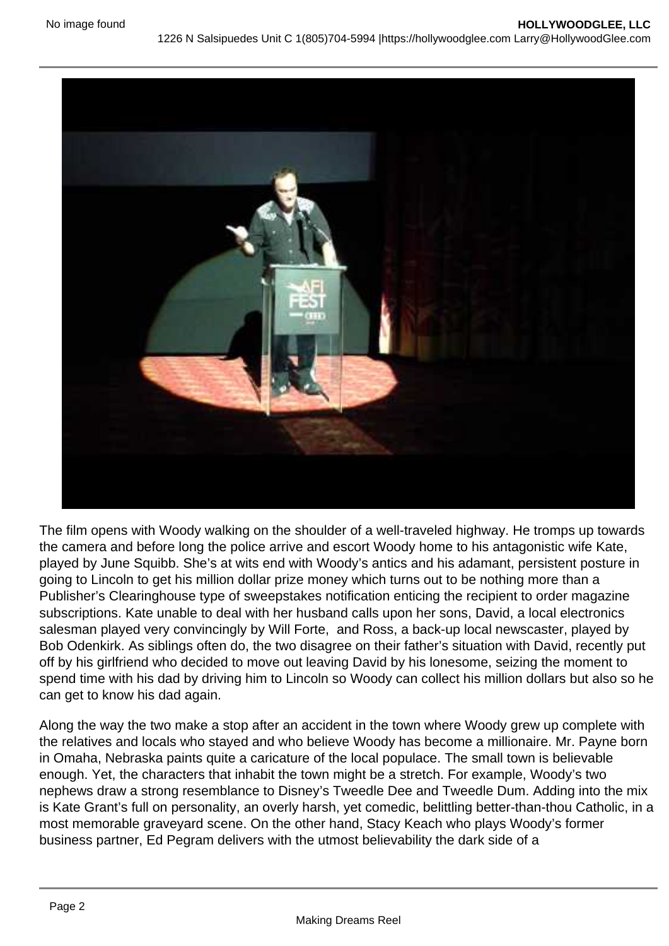The film opens with Woody walking on the shoulder of a well-traveled highway. He tromps up towards the camera and before long the police arrive and escort Woody home to his antagonistic wife Kate, played by June Squibb. She's at wits end with Woody's antics and his adamant, persistent posture in going to Lincoln to get his million dollar prize money which turns out to be nothing more than a Publisher's Clearinghouse type of sweepstakes notification enticing the recipient to order magazine subscriptions. Kate unable to deal with her husband calls upon her sons, David, a local electronics salesman played very convincingly by Will Forte, and Ross, a back-up local newscaster, played by Bob Odenkirk. As siblings often do, the two disagree on their father's situation with David, recently put off by his girlfriend who decided to move out leaving David by his lonesome, seizing the moment to spend time with his dad by driving him to Lincoln so Woody can collect his million dollars but also so he can get to know his dad again.

Along the way the two make a stop after an accident in the town where Woody grew up complete with the relatives and locals who stayed and who believe Woody has become a millionaire. Mr. Payne born in Omaha, Nebraska paints quite a caricature of the local populace. The small town is believable enough. Yet, the characters that inhabit the town might be a stretch. For example, Woody's two nephews draw a strong resemblance to Disney's Tweedle Dee and Tweedle Dum. Adding into the mix is Kate Grant's full on personality, an overly harsh, yet comedic, belittling better-than-thou Catholic, in a most memorable graveyard scene. On the other hand, Stacy Keach who plays Woody's former business partner, Ed Pegram delivers with the utmost believability the dark side of a